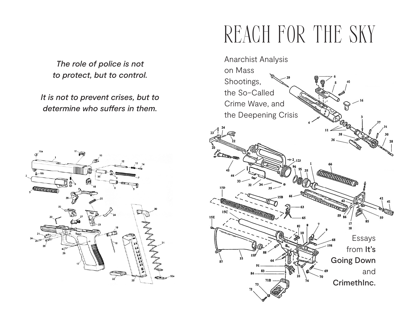*The role of police is not to protect, but to control.* 

*It is not to prevent crises, but to determine who suffers in them.*



# REACH FOR THE SKY

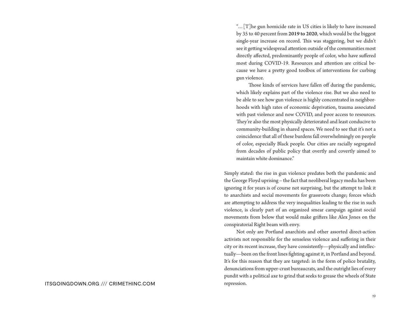"…[T]he gun homicide rate in US cities is likely to have increased by 35 to 40 percent from 2019 to 2020, which would be the biggest single-year increase on record. This was staggering, but we didn't see it getting widespread attention outside of the communities most directly affected, predominantly people of color, who have suffered most during COVID-19. Resources and attention are critical because we have a pretty good toolbox of interventions for curbing gun violence.

Those kinds of services have fallen off during the pandemic, which likely explains part of the violence rise. But we also need to be able to see how gun violence is highly concentrated in neighborhoods with high rates of economic deprivation, trauma associated with past violence and now COVID, and poor access to resources. They're also the most physically deteriorated and least conducive to community-building in shared spaces. We need to see that it's not a coincidence that all of these burdens fall overwhelmingly on people of color, especially Black people. Our cities are racially segregated from decades of public policy that overtly and covertly aimed to maintain white dominance."

Simply stated: the rise in gun violence predates both the pandemic and the George Floyd uprising – the fact that neoliberal legacy media has been ignoring it for years is of course not surprising, but the attempt to link it to anarchists and social movements for grassroots change; forces which are attempting to address the very inequalities leading to the rise in such violence, is clearly part of an organized smear campaign against social movements from below that would make grifters like Alex Jones on the conspiratorial Right beam with envy.

Not only are Portland anarchists and other assorted direct-action activists not responsible for the senseless violence and suffering in their city or its recent increase, they have consistently—physically and intellectually—been on the front lines fighting against it, in Portland and beyond. It's for this reason that they are targeted: in the form of police brutality, denunciations from upper-crust bureaucrats, and the outright lies of every pundit with a political axe to grind that seeks to grease the wheels of State repression.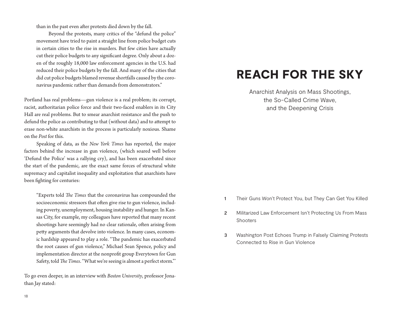than in the past even after protests died down by the fall.

Beyond the protests, many critics of the "defund the police" movement have tried to paint a straight line from police budget cuts in certain cities to the rise in murders. But few cities have actually cut their police budgets to any significant degree. Only about a dozen of the roughly 18,000 law enforcement agencies in the U.S. had reduced their police budgets by the fall. And many of the cities that did cut police budgets blamed revenue shortfalls caused by the coronavirus pandemic rather than demands from demonstrators."

Portland has real problems—gun violence is a real problem; its corrupt, racist, authoritarian police force and their two-faced enablers in its City Hall are real problems. But to smear anarchist resistance and the push to defund the police as contributing to that (without data) and to attempt to erase non-white anarchists in the process is particularly noxious. Shame on the *Post* for this.

Speaking of data, as the *New York Times* has reported, the major factors behind the increase in gun violence, (which soared well before 'Defund the Police' was a rallying cry), and has been exacerbated since the start of the pandemic, are the exact same forces of structural white supremacy and capitalist inequality and exploitation that anarchists have been fighting for centuries:

"Experts told *The Times* that the coronavirus has compounded the socioeconomic stressors that often give rise to gun violence, including poverty, unemployment, housing instability and hunger. In Kansas City, for example, my colleagues have reported that many recent shootings have seemingly had no clear rationale, often arising from petty arguments that devolve into violence. In many cases, economic hardship appeared to play a role. "The pandemic has exacerbated the root causes of gun violence," Michael Sean Spence, policy and implementation director at the nonprofit group Everytown for Gun Safety, told *The Times*. "What we're seeing is almost a perfect storm."'

To go even deeper, in an interview with *Boston University*, professor Jonathan Jay stated:

## REACH FOR THE SKY

Anarchist Analysis on Mass Shootings, the So-Called Crime Wave, and the Deepening Crisis

- 1 Their Guns Won't Protect You, but They Can Get You Killed
- 2 Militarized Law Enforcement Isn't Protecting Us From Mass Shooters
- 3 Washington Post Echoes Trump in Falsely Claiming Protests Connected to Rise in Gun Violence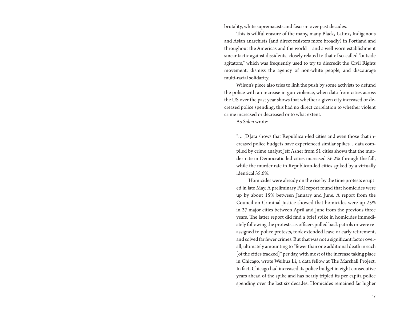brutality, white supremacists and fascism over past decades.

This is willful erasure of the many, many Black, Latinx, Indigenous and Asian anarchists (and direct resisters more broadly) in Portland and throughout the Americas and the world—and a well-worn establishment smear tactic against dissidents, closely related to that of so-called "outside agitators," which was frequently used to try to discredit the Civil Rights movement, dismiss the agency of non-white people, and discourage multi-racial solidarity.

Wilson's piece also tries to link the push by some activists to defund the police with an increase in gun violence, when data from cities across the US over the past year shows that whether a given city increased or decreased police spending, this had no direct correlation to whether violent crime increased or decreased or to what extent.

As *Salon* wrote:

"…[D]ata shows that Republican-led cities and even those that increased police budgets have experienced similar spikes…data compiled by crime analyst Jeff Asher from 51 cities shows that the murder rate in Democratic-led cities increased 36.2% through the fall, while the murder rate in Republican-led cities spiked by a virtually identical 35.6%.

Homicides were already on the rise by the time protests erupted in late May. A preliminary FBI report found that homicides were up by about 15% between January and June. A report from the Council on Criminal Justice showed that homicides were up 25% in 27 major cities between April and June from the previous three years. The latter report did find a brief spike in homicides immediately following the protests, as officers pulled back patrols or were reassigned to police protests, took extended leave or early retirement, and solved far fewer crimes. But that was not a significant factor overall, ultimately amounting to "fewer than one additional death in each [of the cities tracked]" per day, with most of the increase taking place in Chicago, wrote Weihua Li, a data fellow at The Marshall Project. In fact, Chicago had increased its police budget in eight consecutive years ahead of the spike and has nearly tripled its per capita police spending over the last six decades. Homicides remained far higher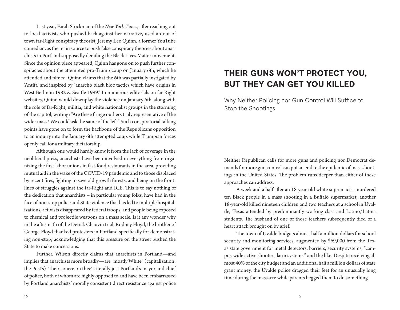Last year, Farah Stockman of the *New York Times*, after reaching out to local activists who pushed back against her narrative, used an out of town far-Right conspiracy theorist, Jeremy Lee Quinn, a former YouTube comedian, as the main source to push false conspiracy theories about anarchists in Portland supposedly derailing the Black Lives Matter movement. Since the opinion piece appeared, Quinn has gone on to push further conspiracies about the attempted pro-Trump coup on January 6th, which he attended and filmed. Quinn claims that the 6th was partially instigated by 'Antifa' and inspired by "anarcho black bloc tactics which have origins in West Berlin in 1982 & Seattle 1999." In numerous editorials on far-Right websites, Quinn would downplay the violence on January 6th, along with the role of far-Right, militia, and white nationalist groups in the storming of the capitol, writing: "Are these fringe outliers truly representative of the wider mass? We could ask the same of the left." Such conspiratorial talking points have gone on to form the backbone of the Republicans opposition to an inquiry into the January 6th attempted coup, while Trumpian forces openly call for a military dictatorship.

Although one would hardly know it from the lack of coverage in the neoliberal press, anarchists have been involved in everything from organizing the first labor unions in fast-food restaurants in the area, providing mutual aid in the wake of the COVID-19 pandemic and to those displaced by recent fires, fighting to save old-growth forests, and being on the frontlines of struggles against the far-Right and ICE. This is to say nothing of the dedication that anarchists – in particular young folks, have had in the face of non-stop police and State violence that has led to multiple hospitalizations, activists disappeared by federal troops, and people being exposed to chemical and projectile weapons on a mass scale. Is it any wonder why in the aftermath of the Derick Chauvin trial, Rodney Floyd, the brother of George Floyd thanked protesters in Portland specifically for demonstrating non-stop; acknowledging that this pressure on the street pushed the State to make concessions.

Further, Wilson directly claims that anarchists in Portland—and implies that anarchists more broadly—are "mostly White" (capitalization: the Post's). Their source on this? Literally just Portland's mayor and chief of police, both of whom are highly opposed to and have been embarrassed by Portland anarchists' morally consistent direct resistance against police

### THEIR GUNS WON'T PROTECT YOU, BUT THEY CAN GET YOU KILLED

Why Neither Policing nor Gun Control Will Suffice to Stop the Shootings

Neither Republican calls for more guns and policing nor Democrat demands for more gun control can put an end to the epidemic of mass shootings in the United States. The problem runs deeper than either of these approaches can address.

A week and a half after an 18-year-old white supremacist murdered ten Black people in a mass shooting in a Buffalo supermarket, another 18-year-old killed nineteen children and two teachers at a school in Uvalde, Texas attended by predominantly working-class and Latino/Latina students. The husband of one of those teachers subsequently died of a heart attack brought on by grief.

The town of Uvalde budgets almost half a million dollars for school security and monitoring services, augmented by \$69,000 from the Texas state government for metal detectors, barriers, security systems, "campus-wide active shooter alarm systems," and the like. Despite receiving almost 40% of the city budget and an additional half a million dollars of state grant money, the Uvalde police dragged their feet for an unusually long time during the massacre while parents begged them to do something.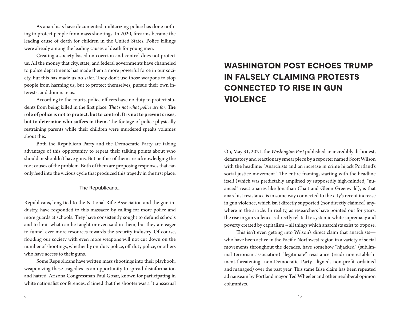As anarchists have documented, militarizing police has done nothing to protect people from mass shootings. In 2020, firearms became the leading cause of death for children in the United States. Police killings were already among the leading causes of death for young men.

Creating a society based on coercion and control does not protect us. All the money that city, state, and federal governments have channeled to police departments has made them a more powerful force in our society, but this has made us no safer. They don't use those weapons to stop people from harming us, but to protect themselves, pursue their own interests, and dominate us.

According to the courts, police officers have no duty to protect students from being killed in the first place. *That's not what police are for*. The role of police is not to protect, but to control. It is not to prevent crises, but to determine who suffers in them. The footage of police physically restraining parents while their children were murdered speaks volumes about this.

Both the Republican Party and the Democratic Party are taking advantage of this opportunity to repeat their talking points about who should or shouldn't have guns. But neither of them are acknowledging the root causes of the problem. Both of them are proposing responses that can only feed into the vicious cycle that produced this tragedy in the first place.

The Republicans…

Republicans, long tied to the National Rifle Association and the gun industry, have responded to this massacre by calling for more police and more guards at schools. They have consistently sought to defund schools and to limit what can be taught or even said in them, but they are eager to funnel ever more resources towards the security industry. Of course, flooding our society with even more weapons will not cut down on the number of shootings, whether by on-duty police, off-duty police, or others who have access to their guns.

Some Republicans have written mass shootings into their playbook, weaponizing these tragedies as an opportunity to spread disinformation and hatred. Arizona Congressman Paul Gosar, known for participating in white nationalist conferences, claimed that the shooter was a "transsexual

## WASHINGTON POST ECHOES TRUMP IN FALSELY CLAIMING PROTESTS CONNECTED TO RISE IN GUN **VIOLENCE**

On, May 31, 2021, the *Washington Post* published an incredibly dishonest, defamatory and reactionary smear piece by a reporter named Scott Wilson with the headline: "Anarchists and an increase in crime hijack Portland's social justice movement." The entire framing, starting with the headline itself (which was predictably amplified by supposedly high-minded, "nuanced" reactionaries like Jonathan Chait and Glenn Greenwald), is that anarchist resistance is in some way connected to the city's recent increase in gun violence, which isn't directly supported (nor directly claimed) anywhere in the article. In reality, as researchers have pointed out for years, the rise in gun violence is directly related to systemic white supremacy and poverty created by capitalism – all things which anarchists exist to oppose.

This isn't even getting into Wilson's direct claim that anarchists who have been active in the Pacific Northwest region in a variety of social movements throughout the decades, have somehow "hijacked" (subliminal terrorism association) "legitimate" resistance (read: non-establishment-threatening, non-Democratic Party aligned, non-profit ordained and managed) over the past year. This same false claim has been repeated ad nauseam by Portland mayor Ted Wheeler and other neoliberal opinion columnists.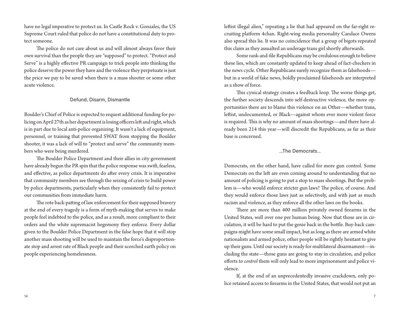have no legal imperative to protect us. In Castle Rock v. Gonzales, the US Supreme Court ruled that police do not have a constitutional duty to protect someone.

The police do not care about us and will almost always favor their own survival than the people they are "supposed" to protect. "Protect and Serve" is a highly effective PR campaign to trick people into thinking the police deserve the power they have and the violence they perpetuate is just the price we pay to be saved when there is a mass shooter or some other acute violence.

#### Defund, Disarm, Dismantle

Boulder's Chief of Police is expected to request additional funding for policing on April 27th as her department is losing officers left and right, which is in part due to local anti-police organizing. It wasn't a lack of equipment, personnel, or training that prevented SWAT from stopping the Boulder shooter, it was a lack of will to "protect and serve" the community members who were being murdered.

The Boulder Police Department and their allies in city government have already begun the PR spin that the police response was swift, fearless, and effective, as police departments do after every crisis. It is imperative that community members see through the seizing of crisis to build power by police departments, particularly when they consistently fail to protect our communities from immediate harm.

The rote back-patting of law enforcement for their supposed bravery at the end of every tragedy is a form of myth-making that serves to make people feel indebted to the police, and as a result, more compliant to their orders and the white supremacist hegemony they enforce. Every dollar given to the Boulder Police Department in the false hope that it will stop another mass shooting will be used to maintain the force's disproportionate stop and arrest rate of Black people and their scorched earth policy on people experiencing homelessness.

leftist illegal alien," repeating a lie that had appeared on the far-right recruiting platform 4chan. Right-wing media personality Candace Owens also spread this lie. It was no coincidence that a group of bigots repeated this claim as they assualted an underage trans girl shortly afterwards.

Some rank-and-file Republicans may be credulous enough to believe these lies, which are constantly updated to keep ahead of fact-checkers in the news cycle. Other Republicans surely recognize them as falsehoods but in a world of fake news, boldly proclaimed falsehoods are interpreted as a show of force.

This cynical strategy creates a feedback loop. The worse things get, the further society descends into self-destructive violence, the more opportunities there are to blame this violence on an Other—whether trans, leftist, undocumented, or Black—against whom ever more violent force is required. This is why no amount of mass shootings—and there have already been 214 this year—will discredit the Republicans, as far as their base is concerned.

#### …The Democrats…

Democrats, on the other hand, have called for more gun control. Some Democrats on the left are even coming around to understanding that no amount of policing is going to put a stop to mass shootings. But the problem is—who would enforce stricter gun laws? The police, of course. And they would enforce those laws just as selectively, and with just as much racism and violence, as they enforce all the other laws on the books.

There are more than 400 million privately owned firearms in the United States, well over one per human being. Now that those are in circulation, it will be hard to put the genie back in the bottle. Buy-back campaigns might have some small impact, but as long as there are armed white nationalists and armed police, other people will be rightly hesitant to give up their guns. Until our society is ready for multilateral disarmament—including the state—those guns are going to stay in circulation, and police efforts to *control* them will only lead to more imprisonment and police violence.

If, at the end of an unprecedentedly invasive crackdown, only police retained access to firearms in the United States, that would not put an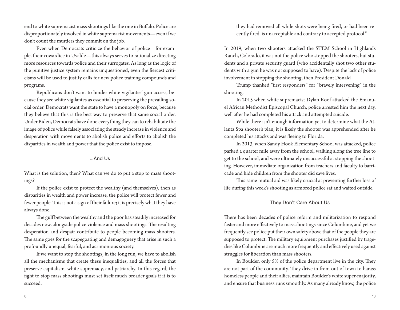end to white supremacist mass shootings like the one in Buffalo. Police are disproportionately involved in white supremacist movements—even if we don't count the murders they commit on the job.

Even when Democrats criticize the behavior of police—for example, their cowardice in Uvalde—this always serves to rationalize directing more resources towards police and their surrogates. As long as the logic of the punitive justice system remains unquestioned, even the fiercest criticisms will be used to justify calls for new police training compounds and programs.

Republicans don't want to hinder white vigilantes' gun access, because they see white vigilantes as essential to preserving the prevailing social order. Democrats want the state to have a monopoly on force, because they believe that this is the best way to preserve that same social order. Under Biden, Democrats have done everything they can to rehabilitate the image of police while falsely associating the steady increase in violence and desperation with movements to abolish police and efforts to abolish the disparities in wealth and power that the police exist to impose.

#### …And Us

What is the solution, then? What can we do to put a stop to mass shootings?

If the police exist to protect the wealthy (and themselves), then as disparities in wealth and power increase, the police will protect fewer and fewer people. This is not a sign of their failure; it is precisely what they have always done.

The gulf between the wealthy and the poor has steadily increased for decades now, alongside police violence and mass shootings. The resulting desperation and despair contribute to people becoming mass shooters. The same goes for the scapegoating and demagoguery that arise in such a profoundly unequal, fearful, and acrimonious society.

If we want to stop the shootings, in the long run, we have to abolish all the mechanisms that create these inequalities, and all the forces that preserve capitalism, white supremacy, and patriarchy. In this regard, the fight to stop mass shootings must set itself much broader goals if it is to succeed.

they had removed all while shots were being fired, or had been recently fired, is unacceptable and contrary to accepted protocol."

In 2019, when two shooters attacked the STEM School in Highlands Ranch, Colorado, it was not the police who stopped the shooters, but students and a private security guard (who accidentally shot two other students with a gun he was not supposed to have). Despite the lack of police involvement in stopping the shooting, then President Donald

Trump thanked "first responders" for "bravely intervening" in the shooting.

In 2015 when white supremacist Dylan Roof attacked the Emanuel African Methodist Episcopal Church, police arrested him the next day, well after he had completed his attack and attempted suicide.

While there isn't enough information yet to determine what the Atlanta Spa shooter's plan, it is likely the shooter was apprehended after he completed his attacks and was fleeing to Florida.

In 2013, when Sandy Hook Elementary School was attacked, police parked a quarter mile away from the school, walking along the tree line to get to the school, and were ultimately unsuccessful at stopping the shooting. However, immediate organization from teachers and faculty to barricade and hide children from the shooter did save lives.

This same mutual aid was likely crucial at preventing further loss of life during this week's shooting as armored police sat and waited outside.

#### They Don't Care About Us

There has been decades of police reform and militarization to respond faster and more effectively to mass shootings since Columbine, and yet we frequently see police put their own safety above that of the people they are supposed to protect. The military equipment purchases justified by tragedies like Columbine are much more frequently and effectively used against struggles for liberation than mass shooters.

In Boulder, only 5% of the police department live in the city. They are not part of the community. They drive in from out of town to harass homeless people and their allies, maintain Boulder's white super-majority, and ensure that business runs smoothly. As many already know, the police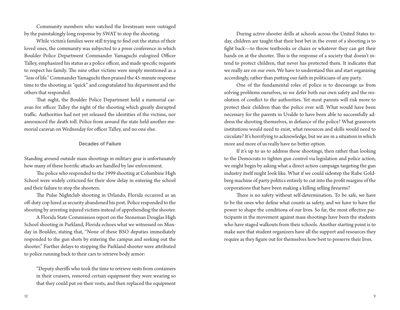Community members who watched the livestream were outraged by the painstakingly long response by SWAT to stop the shooting.

While victim's families were still trying to find out the status of their loved ones, the community was subjected to a press conference in which Boulder Police Department Commander Yamaguchi eulogized Officer Talley, emphasized his status as a police officer, and made specific requests to respect his family. The nine other victims were simply mentioned as a "loss of life." Commander Yamaguchi then praised the 45-minute response time to the shooting as "quick" and congratulated his department and the others that responded.

That night, the Boulder Police Department held a memorial caravan for officer Talley the night of the shooting which greatly disrupted traffic. Authorities had not yet released the identities of the victims, nor announced the death toll. Police from around the state held another memorial caravan on Wednesday for officer Talley, and no one else.

#### Decades of Failure

Standing around outside mass shootings in military gear is unfortunately how many of these horrific attacks are handled by law enforcement.

The police who responded to the 1999 shooting at Columbine High School were widely criticized for their slow delay in entering the school and their failure to stop the shooters.

The Pulse Nightclub shooting in Orlando, Florida occurred as an off-duty cop hired as security abandoned his post. Police responded to the shooting by arresting injured victims instead of apprehending the shooter.

A Florida State Commission report on the Stoneman Douglas High School shooting in Parkland, Florida echoes what we witnessed on Monday in Boulder, stating that, "None of these BSO deputies immediately responded to the gun shots by entering the campus and seeking out the shooter." Further delays to stopping the Parkland shooter were attributed to police running back to their cars to retrieve body armor:

"Deputy sheriffs who took the time to retrieve vests from containers in their cruisers, removed certain equipment they were wearing so that they could put on their vests, and then replaced the equipment

During active shooter drills at schools across the United States today, children are taught that their best bet in the event of a shooting is to fight back—to throw textbooks or chairs or whatever they can get their hands on at the shooter. This is the response of a society that doesn't intend to protect children, that never has protected them. It indicates that we really are on our own. We have to understand this and start organizing accordingly, rather than putting our faith in politicians of any party.

One of the fundamental roles of police is to discourage us from solving problems ourselves, so we defer both our own safety and the resolution of conflict to the authorities. Yet most parents will risk more to protect their children than the police ever will. What would have been necessary for the parents in Uvalde to have been able to successfully address the shooting themselves, in defiance of the police? What grassroots institutions would need to exist, what resources and skills would need to circulate? It's horrifying to acknowledge, but we are in a situation in which more and more of us really have no better option.

If it's up to us to address these shootings, then rather than looking to the Democrats to tighten gun control via legislation and police action, we might begin by asking what a direct action campaign targeting the gun industry itself might look like. What if we could sidestep the Rube Goldberg machine of party politics entirely to cut into the profit margins of the corporations that have been making a killing selling firearms?

There is no safety without self-determination. To be safe, we have to be the ones who define what counts as safety, and we have to have the power to shape the conditions of our lives. So far, the most effective participants in the movement against mass shootings have been the students who have staged walkouts from their schools. Another starting point is to make sure that student organizers have all the support and resources they require as they figure out for themselves how best to preserve their lives.